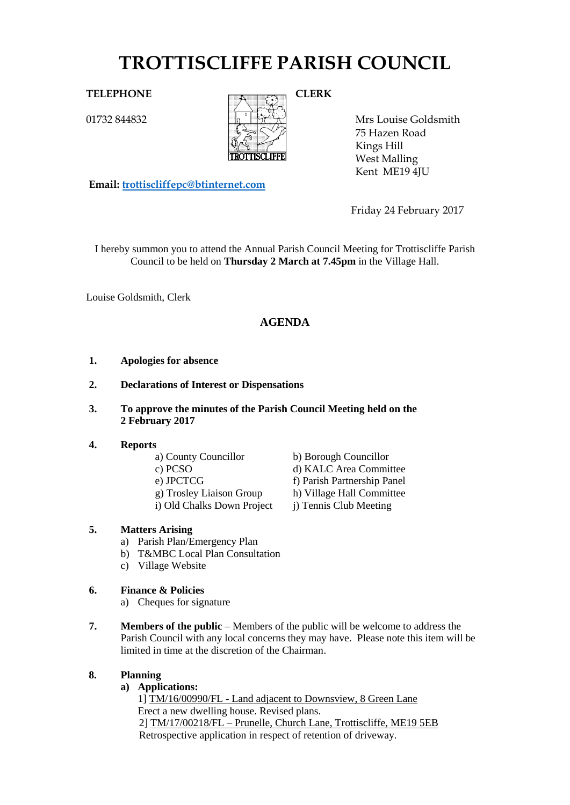# **TROTTISCLIFFE PARISH COUNCIL**

01732 844832



Mrs Louise Goldsmith 75 Hazen Road Kings Hill West Malling Kent ME19 4JU

**Email: [trottiscliffepc@btinternet.com](mailto:trottiscliffepc@btinternet.com)**

Friday 24 February 2017

I hereby summon you to attend the Annual Parish Council Meeting for Trottiscliffe Parish Council to be held on **Thursday 2 March at 7.45pm** in the Village Hall.

Louise Goldsmith, Clerk

# **AGENDA**

- **1. Apologies for absence**
- **2. Declarations of Interest or Dispensations**
- **3. To approve the minutes of the Parish Council Meeting held on the 2 February 2017**

# **4. Reports**

- 
- 
- -
- i) Old Chalks Down Project j) Tennis Club Meeting

# **5. Matters Arising**

- a) Parish Plan/Emergency Plan
- b) T&MBC Local Plan Consultation
- c) Village Website

# **6. Finance & Policies**

- a) Cheques for signature
- **7. Members of the public** Members of the public will be welcome to address the Parish Council with any local concerns they may have. Please note this item will be limited in time at the discretion of the Chairman.

# **8. Planning**

# **a) Applications:**

1] TM/16/00990/FL - Land adjacent to Downsview, 8 Green Lane Erect a new dwelling house. Revised plans. 2] TM/17/00218/FL – Prunelle, Church Lane, Trottiscliffe, ME19 5EB Retrospective application in respect of retention of driveway.

a) County Councillor b) Borough Councillor c) PCSO d) KALC Area Committee e) JPCTCG f) Parish Partnership Panel g) Trosley Liaison Group h) Village Hall Committee